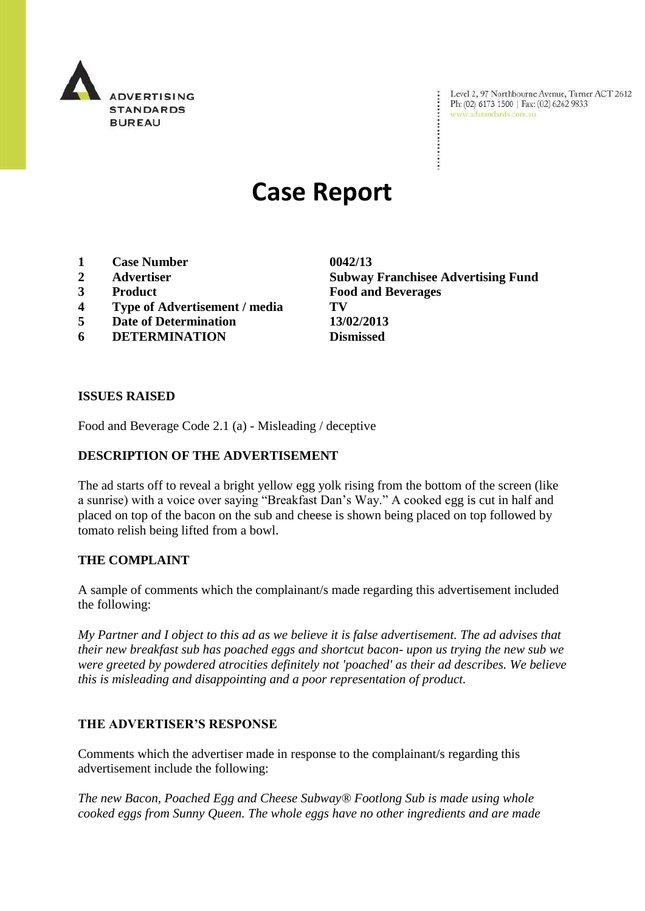

Level 2, 97 Northbourne Avenue, Turner ACT 2612 Ph: (02) 6173 1500 | Fax: (02) 6262 9833 www.adstandards.com.au

# **Case Report**

- **1 Case Number 0042/13**
- 
- 
- **4 Type of Advertisement / media TV**
- **5 Date of Determination 13/02/2013**
- **6 DETERMINATION Dismissed**

**2 Advertiser Subway Franchisee Advertising Fund 3 Product Food and Beverages**

### **ISSUES RAISED**

Food and Beverage Code 2.1 (a) - Misleading / deceptive

# **DESCRIPTION OF THE ADVERTISEMENT**

The ad starts off to reveal a bright yellow egg yolk rising from the bottom of the screen (like a sunrise) with a voice over saying "Breakfast Dan's Way." A cooked egg is cut in half and placed on top of the bacon on the sub and cheese is shown being placed on top followed by tomato relish being lifted from a bowl.

## **THE COMPLAINT**

A sample of comments which the complainant/s made regarding this advertisement included the following:

*My Partner and I object to this ad as we believe it is false advertisement. The ad advises that their new breakfast sub has poached eggs and shortcut bacon- upon us trying the new sub we were greeted by powdered atrocities definitely not 'poached' as their ad describes. We believe this is misleading and disappointing and a poor representation of product.*

### **THE ADVERTISER'S RESPONSE**

Comments which the advertiser made in response to the complainant/s regarding this advertisement include the following:

*The new Bacon, Poached Egg and Cheese Subway® Footlong Sub is made using whole cooked eggs from Sunny Queen. The whole eggs have no other ingredients and are made*